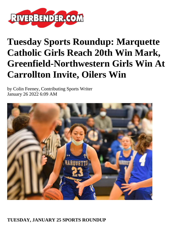

# **Tuesday Sports Roundup: Marquette Catholic Girls Reach 20th Win Mark, Greenfield-Northwestern Girls Win At Carrollton Invite, Oilers Win**

by Colin Feeney, Contributing Sports Writer January 26 2022 6:09 AM



## **TUESDAY, JANUARY 25 SPORTS ROUNDUP**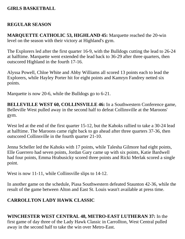## **GIRLS BASKETBALL**

## **REGULAR SEASON**

**MARQUETTE CATHOLIC 53, HIGHLAND 45:** Marquette reached the 20-win level on the season with their victory at Highland's gym.

The Explorers led after the first quarter 16-9, with the Bulldogs cutting the lead to 26-24 at halftime. Marquette went extended the lead back to 36-29 after three quarters, then outscored Highland in the fourth 17-16.

Alyssa Powell, Chloe White and Abby Williams all scored 13 points each to lead the Explorers, while Hayley Porter hit for eight points and Kamryn Fandrey netted six points.

Marquette is now 20-6, while the Bulldogs go to 6-21.

**BELLEVILLE WEST 60, COLLINSVILLE 46:** In a Southwestern Conference game, Belleville West pulled away in the second half to defeat Collinsville at the Maroons' gym.

West led at the end of the first quarter 15-12, but the Kahoks rallied to take a 30-24 lead at halftime. The Maroons came right back to go ahead after three quarters 37-36, then outscored Collinsville in the fourth quarter 21-10.

Jenna Scheller led the Kahoks with 17 points, while Talesha Gilmore had eight points, Elle Guerrero had seven points, Jordan Gary came up with six points, Katie Bardwell had four points, Emma Hrabusicky scored three points and Ricki Merlak scored a single point.

West is now 11-11, while Collinsville slips to 14-12.

In another game on the schedule, Piasa Southwestern defeated Staunton 42-36, while the result of the game between Alton and East St. Louis wasn't available at press time.

## **CARROLLTON LADY HAWK CLASSIC**

**WINCHESTER WEST CENTRAL 48, METRO-EAST LUTHERAN 37:** In the first game of day three of the Lady Hawk Classic in Carrollton, West Central pulled away in the second half to take the win over Metro-East.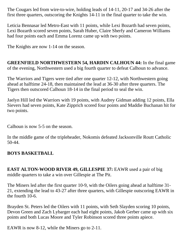The Cougars led from wire-to-wire, holding leads of 14-11, 20-17 and 34-26 after the first three quarters, outscoring the Knights 14-11 in the final quarter to take the win.

Leticia Bennasar led Metro-East with 11 points, while Lexi Bozarth had seven points, Lexi Bozarth scored seven points, Sarah Huber, Claire Sherfy and Cameron Williams had four points each and Emma Lorenz came up with two points.

The Knights are now 1-14 on the season.

**GREENFIELD NORTHWESTERN 54, HARDIN CALHOUN 44:** In the final game of the evening, Northwestern used a big fourth quarter to defeat Calhoun to advance.

The Warriors and Tigers were tied after one quarter 12-12, with Northwestern going ahead at halftime 24-18, then maintained the lead at 36-30 after three quarters. The Tigers then outscored Calhoun 18-14 in the final period to seal the win.

Jaelyn Hill led the Warriors with 19 points, with Audrey Gidman adding 12 points, Ella Sievers had seven points, Kate Zipprich scored four points and Maddie Buchanan hit for two points.

Calhoun is now 5-5 on the season.

In the middle game of the tripleheader, Nokomis defeated Jacksonville Routt Catholic 50-44.

## **BOYS BASKETBALL**

**EAST ALTON-WOOD RIVER 49, GILLESPIE 37: EAWR used a pair of big** middle quarters to take a win over Gillespie at The Pit.

The Miners led after the first quarter 10-9, with the Oilers going ahead at halftime 31- 21, extending the lead to 43-27 after three quarters, with Gillespie outscoring EAWR in the fourth 10-6.

Brayden St. Peters led the Oilers with 11 points, with Seth Slayden scoring 10 points, Devon Green and Zach Lybarger each had eight points, Jakob Gerber came up with six points and both Lucas Moore and Tyler Robinson scored three points apiece.

EAWR is now 8-12, while the Miners go to 2-11.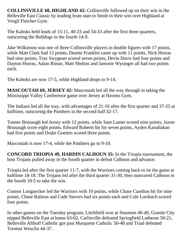**COLLINSVILLE 68, HIGHLAND 42:** Collinsville followed up on their win in the Belleville East Classic by leading from start to finish in their win over Highland at Vergil Fletcher Gym.

The Kahoks held leads of 15-11, 40-23 and 54-33 after the first three quarters, outscoring the Bulldogs in the fourth 14-9.

Jake Wilkinson was one of three Collinsville players in double figures with 17 points, while Matt Clark had 12 points, Deante Franklin came up with 11 points, Nick Horras had nine points, Tray Swygeart scored seven points, Devin Davis had four points and Dayton Horras, Adam Rimar, Matt Shelton and Jamorie Wysinger all had two points each.

The Kahoks are now 17-5, while Highland drops to 9-14.

**MASCOUTAH 69, JERSEY 42:** Mascoutah led all the way through in taking the Mississippi Valley Conference game over Jersey at Havens Gym.

The Indians led all the way, with advantages of 21-10 after the first quarter and 37-25 at halftime, outscoring the Panthers in the second half 32-17.

Tanner Brunaugh led Jersey with 12 points, while Sam Lamer scored nine points, Jaxon Brunaugh score eight points, Edward Roberts hit for seven points, Ayden Kanallakan had five points and Drake Goetten scored three points.

Mascoutah is now 17-4, while the Panthers go to 9-10.

**CONCORD TRIOPIA 49, HARDIN CALHOUN 35:** In the Triopia tournament, the host Trojans pulled away in the fourth quarter to defeat Calhoun and advance.

Triopia led after the first quarter 11-7, with the Warriors coming back to tie the game at halftime 18-18. The Trojans led after the third quarter 31-30, then outscored Calhoun in the fourth 18-5 to take the win.

Connor Longnecker led the Warriors with 10 points, while Chase Caselton hit for nine points, Chase Ralston and Cade Sievers had six points each and Cole Lorsbach scored four points.

In other games on the Tuesday program, Litchfield won at Staunton 46-40, Granite City nipped Belleville East at home 63-62, Carlinville defeated Springfield Lutheran 50-21, Belleville Althoff Catholic got past Marquette Catholic 50-48 and Triad defeated Trenton Wesclin 44-37.